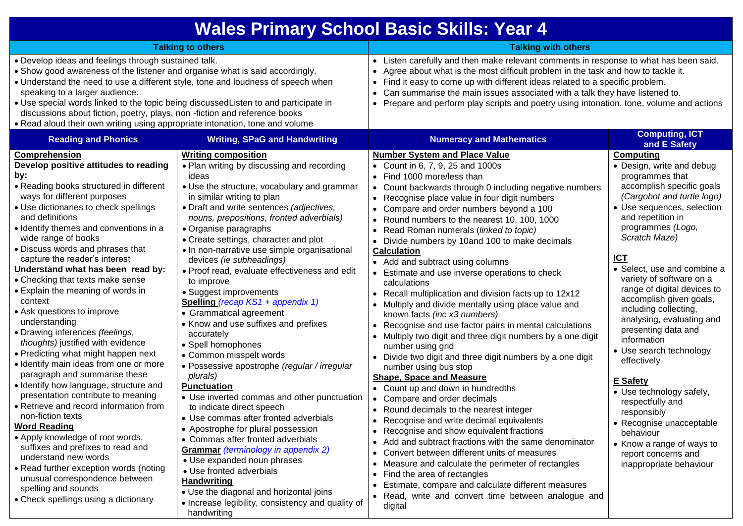| <b>Wales Primary School Basic Skills: Year 4</b>                                                                                                                                                                                                                                                                                                                                                                                                                                                                                                                                                                                                                                                                                                                                                                                                                                                                                                                                                                                                                                                                              |                                                                                                                                                                                                                                                                                                                                                                                                                                                                                                                                                                                                                                                                                                                                                                                                                                                                                                                                                                                                                                                                                                                                                                                                      |                                                                                                                                                                                                                                                                                                                                                                                                                                                                                                                                                                                                                                                                                                                                                                                                                                                                                                                                                                                                                                                                                                                                                                                                                                                                                                                                                                                                                                                                                                         |                                                                                                                                                                                                                                                                                                                                                                                                                                                                                                                                                                                                                                                                                                         |
|-------------------------------------------------------------------------------------------------------------------------------------------------------------------------------------------------------------------------------------------------------------------------------------------------------------------------------------------------------------------------------------------------------------------------------------------------------------------------------------------------------------------------------------------------------------------------------------------------------------------------------------------------------------------------------------------------------------------------------------------------------------------------------------------------------------------------------------------------------------------------------------------------------------------------------------------------------------------------------------------------------------------------------------------------------------------------------------------------------------------------------|------------------------------------------------------------------------------------------------------------------------------------------------------------------------------------------------------------------------------------------------------------------------------------------------------------------------------------------------------------------------------------------------------------------------------------------------------------------------------------------------------------------------------------------------------------------------------------------------------------------------------------------------------------------------------------------------------------------------------------------------------------------------------------------------------------------------------------------------------------------------------------------------------------------------------------------------------------------------------------------------------------------------------------------------------------------------------------------------------------------------------------------------------------------------------------------------------|---------------------------------------------------------------------------------------------------------------------------------------------------------------------------------------------------------------------------------------------------------------------------------------------------------------------------------------------------------------------------------------------------------------------------------------------------------------------------------------------------------------------------------------------------------------------------------------------------------------------------------------------------------------------------------------------------------------------------------------------------------------------------------------------------------------------------------------------------------------------------------------------------------------------------------------------------------------------------------------------------------------------------------------------------------------------------------------------------------------------------------------------------------------------------------------------------------------------------------------------------------------------------------------------------------------------------------------------------------------------------------------------------------------------------------------------------------------------------------------------------------|---------------------------------------------------------------------------------------------------------------------------------------------------------------------------------------------------------------------------------------------------------------------------------------------------------------------------------------------------------------------------------------------------------------------------------------------------------------------------------------------------------------------------------------------------------------------------------------------------------------------------------------------------------------------------------------------------------|
| <b>Talking to others</b>                                                                                                                                                                                                                                                                                                                                                                                                                                                                                                                                                                                                                                                                                                                                                                                                                                                                                                                                                                                                                                                                                                      |                                                                                                                                                                                                                                                                                                                                                                                                                                                                                                                                                                                                                                                                                                                                                                                                                                                                                                                                                                                                                                                                                                                                                                                                      | <b>Talking with others</b>                                                                                                                                                                                                                                                                                                                                                                                                                                                                                                                                                                                                                                                                                                                                                                                                                                                                                                                                                                                                                                                                                                                                                                                                                                                                                                                                                                                                                                                                              |                                                                                                                                                                                                                                                                                                                                                                                                                                                                                                                                                                                                                                                                                                         |
| . Develop ideas and feelings through sustained talk.<br>• Show good awareness of the listener and organise what is said accordingly.<br>• Understand the need to use a different style, tone and loudness of speech when<br>speaking to a larger audience.<br>. Use special words linked to the topic being discussed Listen to and participate in<br>discussions about fiction, poetry, plays, non -fiction and reference books<br>. Read aloud their own writing using appropriate intonation, tone and volume                                                                                                                                                                                                                                                                                                                                                                                                                                                                                                                                                                                                              |                                                                                                                                                                                                                                                                                                                                                                                                                                                                                                                                                                                                                                                                                                                                                                                                                                                                                                                                                                                                                                                                                                                                                                                                      | • Listen carefully and then make relevant comments in response to what has been said.<br>• Agree about what is the most difficult problem in the task and how to tackle it.<br>• Find it easy to come up with different ideas related to a specific problem.<br>• Can summarise the main issues associated with a talk they have listened to.<br>• Prepare and perform play scripts and poetry using intonation, tone, volume and actions                                                                                                                                                                                                                                                                                                                                                                                                                                                                                                                                                                                                                                                                                                                                                                                                                                                                                                                                                                                                                                                               |                                                                                                                                                                                                                                                                                                                                                                                                                                                                                                                                                                                                                                                                                                         |
| <b>Reading and Phonics</b>                                                                                                                                                                                                                                                                                                                                                                                                                                                                                                                                                                                                                                                                                                                                                                                                                                                                                                                                                                                                                                                                                                    | <b>Writing, SPaG and Handwriting</b>                                                                                                                                                                                                                                                                                                                                                                                                                                                                                                                                                                                                                                                                                                                                                                                                                                                                                                                                                                                                                                                                                                                                                                 | <b>Numeracy and Mathematics</b>                                                                                                                                                                                                                                                                                                                                                                                                                                                                                                                                                                                                                                                                                                                                                                                                                                                                                                                                                                                                                                                                                                                                                                                                                                                                                                                                                                                                                                                                         | <b>Computing, ICT</b><br>and E Safety                                                                                                                                                                                                                                                                                                                                                                                                                                                                                                                                                                                                                                                                   |
| Comprehension<br>Develop positive attitudes to reading<br>by:<br>• Reading books structured in different<br>ways for different purposes<br>• Use dictionaries to check spellings<br>and definitions<br>• Identify themes and conventions in a<br>wide range of books<br>• Discuss words and phrases that<br>capture the reader's interest<br>Understand what has been read by:<br>• Checking that texts make sense<br>• Explain the meaning of words in<br>context<br>• Ask questions to improve<br>understanding<br>• Drawing inferences (feelings,<br>thoughts) justified with evidence<br>• Predicting what might happen next<br>• Identify main ideas from one or more<br>paragraph and summarise these<br>· Identify how language, structure and<br>presentation contribute to meaning<br>• Retrieve and record information from<br>non-fiction texts<br><b>Word Reading</b><br>• Apply knowledge of root words,<br>suffixes and prefixes to read and<br>understand new words<br>• Read further exception words (noting<br>unusual correspondence between<br>spelling and sounds<br>• Check spellings using a dictionary | <b>Writing composition</b><br>. Plan writing by discussing and recording<br>ideas<br>• Use the structure, vocabulary and grammar<br>in similar writing to plan<br>• Draft and write sentences (adjectives,<br>nouns, prepositions, fronted adverbials)<br>• Organise paragraphs<br>• Create settings, character and plot<br>• In non-narrative use simple organisational<br>devices (ie subheadings)<br>• Proof read, evaluate effectiveness and edit<br>to improve<br>• Suggest improvements<br>Spelling (recap KS1 + appendix 1)<br>• Grammatical agreement<br>• Know and use suffixes and prefixes<br>accurately<br>• Spell homophones<br>• Common misspelt words<br>· Possessive apostrophe (regular / irregular<br>plurals)<br><b>Punctuation</b><br>• Use inverted commas and other punctuation<br>to indicate direct speech<br>• Use commas after fronted adverbials<br>• Apostrophe for plural possession<br>• Commas after fronted adverbials<br><b>Grammar</b> (terminology in appendix 2)<br>• Use expanded noun phrases<br>• Use fronted adverbials<br><b>Handwriting</b><br>• Use the diagonal and horizontal joins<br>• Increase legibility, consistency and quality of<br>handwriting | <b>Number System and Place Value</b><br>• Count in 6, 7, 9, 25 and 1000s<br>• Find 1000 more/less than<br>• Count backwards through 0 including negative numbers<br>• Recognise place value in four digit numbers<br>• Compare and order numbers beyond a 100<br>• Round numbers to the nearest 10, 100, 1000<br>• Read Roman numerals (linked to topic)<br>• Divide numbers by 10and 100 to make decimals<br><b>Calculation</b><br>• Add and subtract using columns<br>• Estimate and use inverse operations to check<br>calculations<br>• Recall multiplication and division facts up to 12x12<br>• Multiply and divide mentally using place value and<br>known facts (inc x3 numbers)<br>• Recognise and use factor pairs in mental calculations<br>• Multiply two digit and three digit numbers by a one digit<br>number using grid<br>• Divide two digit and three digit numbers by a one digit<br>number using bus stop<br><b>Shape, Space and Measure</b><br>• Count up and down in hundredths<br>• Compare and order decimals<br>• Round decimals to the nearest integer<br>• Recognise and write decimal equivalents<br>• Recognise and show equivalent fractions<br>• Add and subtract fractions with the same denominator<br>• Convert between different units of measures<br>• Measure and calculate the perimeter of rectangles<br>• Find the area of rectangles<br>• Estimate, compare and calculate different measures<br>• Read, write and convert time between analogue and<br>digital | <b>Computing</b><br>• Design, write and debug<br>programmes that<br>accomplish specific goals<br>(Cargobot and turtle logo)<br>· Use sequences, selection<br>and repetition in<br>programmes (Logo,<br>Scratch Maze)<br><b>ICT</b><br>• Select, use and combine a<br>variety of software on a<br>range of digital devices to<br>accomplish given goals,<br>including collecting,<br>analysing, evaluating and<br>presenting data and<br>information<br>• Use search technology<br>effectively<br><b>E</b> Safety<br>• Use technology safely,<br>respectfully and<br>responsibly<br>• Recognise unacceptable<br>behaviour<br>• Know a range of ways to<br>report concerns and<br>inappropriate behaviour |